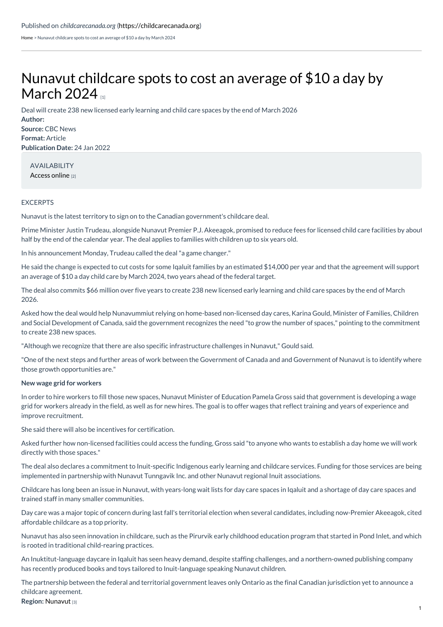[Home](https://childcarecanada.org/) > Nunavut childcare spots to cost an average of \$10 a day by March 2024

## Nunavut [childcare](https://childcarecanada.org/documents/child-care-news/22/01/nunavut-childcare-spots-cost-average-10-day-march-2024) spots to cost an average of \$10 a day by March  $2024<sub>m</sub>$

Deal will create 238 new licensed early learning and child care spaces by the end of March 2026

**Author: Source:** CBC News **Format:** Article **Publication Date:** 24 Jan 2022

AVAILABILITY [Access](https://www.cbc.ca/news/canada/north/nunavut-childcare-agreement-1.6325225) online [2]

## EXCERPTS

Nunavut is the latest territory to sign on to the Canadian government's childcare deal.

Prime Minister Justin Trudeau, alongside Nunavut Premier P.J. Akeeagok, promised to reduce fees for licensed child care facilities by about half by the end of the calendar year. The deal applies to families with children up to six years old.

In his announcement Monday, Trudeau called the deal"a game changer."

He said the change is expected to cut costs for some Iqaluit families by an estimated \$14,000 per year and that the agreement will support an average of \$10 a day child care by March 2024, two years ahead of the federal target.

The deal also commits \$66 million over five years to create 238 new licensed early learning and child care spaces by the end of March 2026.

Asked how the deal would help Nunavummiut relying on home-based non-licensed day cares, Karina Gould, Minister of Families, Children and Social Development of Canada, said the government recognizes the need "to grow the number of spaces," pointing to the commitment to create 238 new spaces.

"Although we recognize that there are also specific infrastructure challenges in Nunavut," Gould said.

"One of the next steps and further areas of work between the Government of Canada and and Government of Nunavut is to identify where those growth opportunities are."

## **New wage grid for workers**

In order to hire workers to fill those new spaces, Nunavut Minister of Education Pamela Gross said that government is developing a wage grid for workers already in the field, as well as for new hires. The goal is to offer wages that reflect training and years of experience and improve recruitment.

She said there will also be incentives for certification.

Asked further how non-licensed facilities could access the funding, Gross said "to anyone who wants to establish a day home we will work directly with those spaces."

The deal also declares a commitment to Inuit-specific Indigenous early learning and childcare services. Funding for those services are being implemented in partnership with Nunavut Tunngavik Inc. and other Nunavut regional Inuit associations.

Childcare has long been an issue in Nunavut, with years-long wait lists for day care spaces in Iqaluit and a shortage of day care spaces and trained staff in many smaller communities.

Day care was a major topic of concern during last fall's territorial election when several candidates, including now-Premier Akeeagok, cited affordable childcare as a top priority.

Nunavut has also seen innovation in childcare, such as the Pirurvik early childhood education program that started in Pond Inlet, and which is rooted in traditional child-rearing practices.

An Inuktitut-language daycare in Iqaluit has seen heavy demand, despite staffing challenges, and a northern-owned publishing company has recently produced books and toys tailored to Inuit-language speaking Nunavut children.

The partnership between the federal and territorial government leaves only Ontario as the final Canadian jurisdiction yet to announce a childcare agreement.

## **Region:** [Nunavut](https://childcarecanada.org/taxonomy/term/7862) [3]